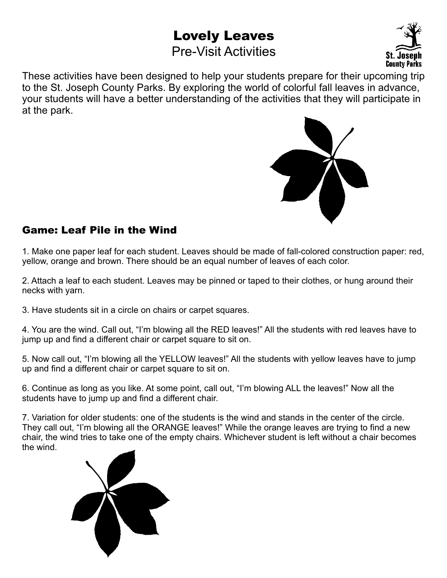# **Lovely Leaves**

# Pre-Visit Activities



These activities have been designed to help your students prepare for their upcoming trip to the St. Joseph County Parks. By exploring the world of colorful fall leaves in advance, your students will have a better understanding of the activities that they will participate in at the park.



### **Game: Leaf Pile in the Wind**

1. Make one paper leaf for each student. Leaves should be made of fall-colored construction paper: red, yellow, orange and brown. There should be an equal number of leaves of each color.

2. Attach a leaf to each student. Leaves may be pinned or taped to their clothes, or hung around their necks with yarn.

3. Have students sit in a circle on chairs or carpet squares.

4. You are the wind. Call out, "I'm blowing all the RED leaves!" All the students with red leaves have to jump up and find a different chair or carpet square to sit on.

5. Now call out, "I'm blowing all the YELLOW leaves!" All the students with yellow leaves have to jump up and find a different chair or carpet square to sit on.

6. Continue as long as you like. At some point, call out, "I'm blowing ALL the leaves!" Now all the students have to jump up and find a different chair.

7. Variation for older students: one of the students is the wind and stands in the center of the circle. They call out, "I'm blowing all the ORANGE leaves!" While the orange leaves are trying to find a new chair, the wind tries to take one of the empty chairs. Whichever student is left without a chair becomes the wind.

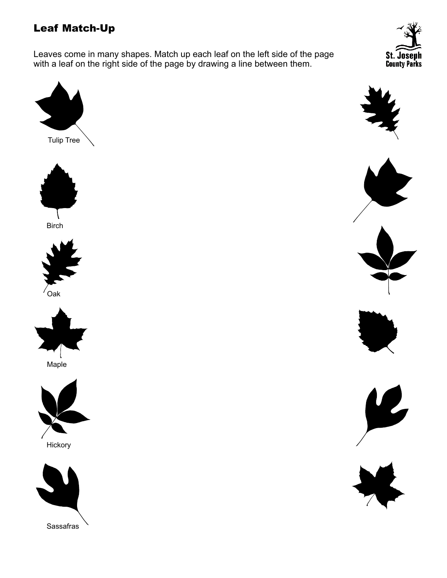## **Leaf Match-Up**

Leaves come in many shapes. Match up each leaf on the left side of the page with a leaf on the right side of the page by drawing a line between them.













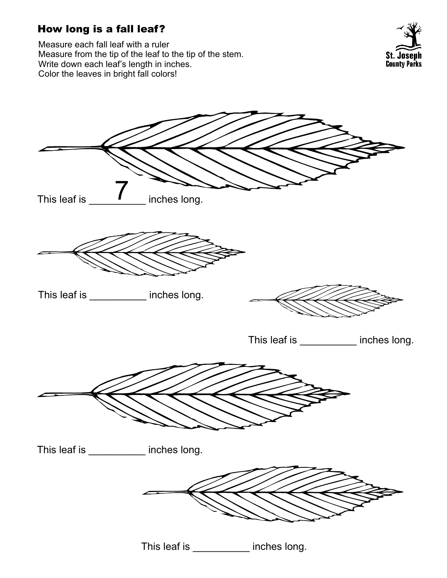## **How long is a fall leaf?**

Measure each fall leaf with a ruler Measure from the tip of the leaf to the tip of the stem. Write down each leaf's length in inches. Color the leaves in bright fall colors!





This leaf is \_\_\_\_\_\_\_\_\_\_ inches long.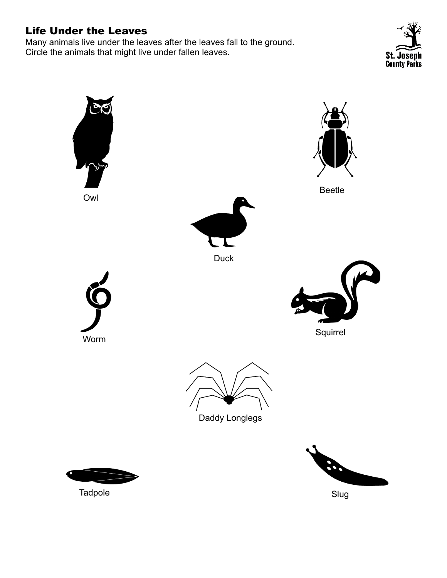### **Life Under the Leaves**

Many animals live under the leaves after the leaves fall to the ground. Circle the animals that might live under fallen leaves.



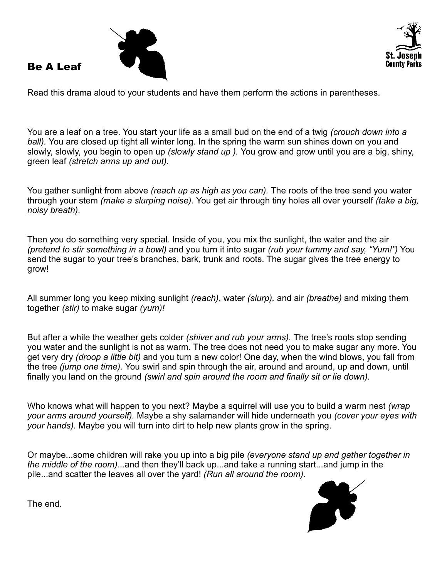

**Be A Leaf**



Read this drama aloud to your students and have them perform the actions in parentheses.

You are a leaf on a tree. You start your life as a small bud on the end of a twig *(crouch down into a ball).* You are closed up tight all winter long. In the spring the warm sun shines down on you and slowly, slowly, you begin to open up *(slowly stand up ).* You grow and grow until you are a big, shiny, green leaf *(stretch arms up and out).*

You gather sunlight from above *(reach up as high as you can).* The roots of the tree send you water through your stem *(make a slurping noise).* You get air through tiny holes all over yourself *(take a big, noisy breath).* 

Then you do something very special. Inside of you, you mix the sunlight, the water and the air *(pretend to stir something in a bowl)* and you turn it into sugar *(rub your tummy and say, "Yum!")* You send the sugar to your tree's branches, bark, trunk and roots. The sugar gives the tree energy to grow!

All summer long you keep mixing sunlight *(reach)*, water *(slurp),* and air *(breathe)* and mixing them together *(stir)* to make sugar *(yum)!*

But after a while the weather gets colder *(shiver and rub your arms).* The tree's roots stop sending you water and the sunlight is not as warm. The tree does not need you to make sugar any more. You get very dry *(droop a little bit)* and you turn a new color! One day, when the wind blows, you fall from the tree *(jump one time).* You swirl and spin through the air, around and around, up and down, until finally you land on the ground *(swirl and spin around the room and finally sit or lie down).*

Who knows what will happen to you next? Maybe a squirrel will use you to build a warm nest *(wrap your arms around yourself).* Maybe a shy salamander will hide underneath you *(cover your eyes with your hands).* Maybe you will turn into dirt to help new plants grow in the spring.

Or maybe...some children will rake you up into a big pile *(everyone stand up and gather together in the middle of the room)*...and then they'll back up...and take a running start...and jump in the pile...and scatter the leaves all over the yard! *(Run all around the room).* 



The end.